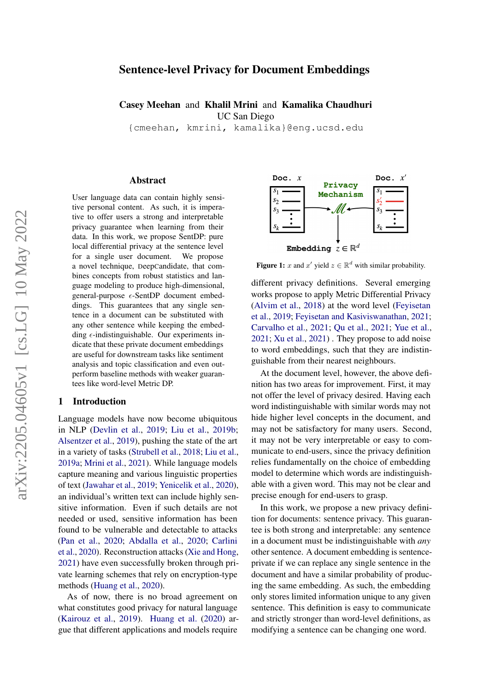# arXiv:2205.04605v1 [cs.LG] 10 May 2022 arXiv:2205.04605v1 [cs.LG] 10 May 2022

# Sentence-level Privacy for Document Embeddings

Casey Meehan and Khalil Mrini and Kamalika Chaudhuri UC San Diego

{cmeehan, kmrini, kamalika}@eng.ucsd.edu

#### Abstract

User language data can contain highly sensitive personal content. As such, it is imperative to offer users a strong and interpretable privacy guarantee when learning from their data. In this work, we propose SentDP: pure local differential privacy at the sentence level for a single user document. We propose a novel technique, DeepCandidate, that combines concepts from robust statistics and language modeling to produce high-dimensional, general-purpose  $\epsilon$ -SentDP document embeddings. This guarantees that any single sentence in a document can be substituted with any other sentence while keeping the embedding  $\epsilon$ -indistinguishable. Our experiments indicate that these private document embeddings are useful for downstream tasks like sentiment analysis and topic classification and even outperform baseline methods with weaker guarantees like word-level Metric DP.

#### 1 Introduction

Language models have now become ubiquitous in NLP [\(Devlin et al.,](#page-8-0) [2019;](#page-8-0) [Liu et al.,](#page-9-0) [2019b;](#page-9-0) [Alsentzer et al.,](#page-8-1) [2019\)](#page-8-1), pushing the state of the art in a variety of tasks [\(Strubell et al.,](#page-9-1) [2018;](#page-9-1) [Liu et al.,](#page-9-2) [2019a;](#page-9-2) [Mrini et al.,](#page-9-3) [2021\)](#page-9-3). While language models capture meaning and various linguistic properties of text [\(Jawahar et al.,](#page-9-4) [2019;](#page-9-4) [Yenicelik et al.,](#page-10-0) [2020\)](#page-10-0), an individual's written text can include highly sensitive information. Even if such details are not needed or used, sensitive information has been found to be vulnerable and detectable to attacks [\(Pan et al.,](#page-9-5) [2020;](#page-9-5) [Abdalla et al.,](#page-8-2) [2020;](#page-8-2) [Carlini](#page-8-3) [et al.,](#page-8-3) [2020\)](#page-8-3). Reconstruction attacks [\(Xie and Hong,](#page-9-6) [2021\)](#page-9-6) have even successfully broken through private learning schemes that rely on encryption-type methods [\(Huang et al.,](#page-8-4) [2020\)](#page-8-4).

As of now, there is no broad agreement on what constitutes good privacy for natural language [\(Kairouz et al.,](#page-9-7) [2019\)](#page-9-7). [Huang et al.](#page-8-4) [\(2020\)](#page-8-4) argue that different applications and models require



**Figure 1:** x and x' yield  $z \in \mathbb{R}^d$  with similar probability.

different privacy definitions. Several emerging works propose to apply Metric Differential Privacy [\(Alvim et al.,](#page-8-5) [2018\)](#page-8-5) at the word level [\(Feyisetan](#page-8-6) [et al.,](#page-8-6) [2019;](#page-8-6) [Feyisetan and Kasiviswanathan,](#page-8-7) [2021;](#page-8-7) [Carvalho et al.,](#page-8-8) [2021;](#page-8-8) [Qu et al.,](#page-9-8) [2021;](#page-9-8) [Yue et al.,](#page-10-1) [2021;](#page-10-1) [Xu et al.,](#page-9-9) [2021\)](#page-9-9) . They propose to add noise to word embeddings, such that they are indistinguishable from their nearest neighbours.

At the document level, however, the above definition has two areas for improvement. First, it may not offer the level of privacy desired. Having each word indistinguishable with similar words may not hide higher level concepts in the document, and may not be satisfactory for many users. Second, it may not be very interpretable or easy to communicate to end-users, since the privacy definition relies fundamentally on the choice of embedding model to determine which words are indistinguishable with a given word. This may not be clear and precise enough for end-users to grasp.

In this work, we propose a new privacy definition for documents: sentence privacy. This guarantee is both strong and interpretable: any sentence in a document must be indistinguishable with *any* other sentence. A document embedding is sentenceprivate if we can replace any single sentence in the document and have a similar probability of producing the same embedding. As such, the embedding only stores limited information unique to any given sentence. This definition is easy to communicate and strictly stronger than word-level definitions, as modifying a sentence can be changing one word.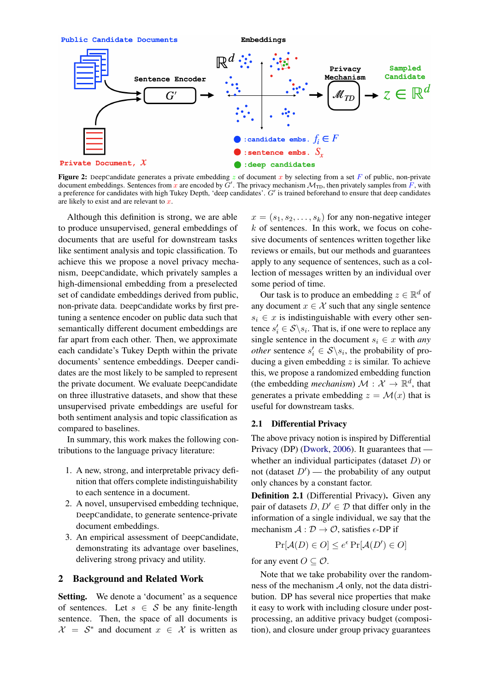

Figure 2: DeepCandidate generates a private embedding z of document x by selecting from a set F of public, non-private document embeddings. Sentences from x are encoded by  $G'$ . The privacy mechanism  $\mathcal{M}_{TD}$ , then privately samples from  $\overline{F}$ , with a preference for candidates with high Tukey Depth, 'deep candidates'.  $G'$  is trained beforehand to ensure that deep candidates are likely to exist and are relevant to  $x$ .

Although this definition is strong, we are able to produce unsupervised, general embeddings of documents that are useful for downstream tasks like sentiment analysis and topic classification. To achieve this we propose a novel privacy mechanism, DeepCandidate, which privately samples a high-dimensional embedding from a preselected set of candidate embeddings derived from public, non-private data. DeepCandidate works by first pretuning a sentence encoder on public data such that semantically different document embeddings are far apart from each other. Then, we approximate each candidate's Tukey Depth within the private documents' sentence embeddings. Deeper candidates are the most likely to be sampled to represent the private document. We evaluate DeepCandidate on three illustrative datasets, and show that these unsupervised private embeddings are useful for both sentiment analysis and topic classification as compared to baselines.

In summary, this work makes the following contributions to the language privacy literature:

- 1. A new, strong, and interpretable privacy definition that offers complete indistinguishability to each sentence in a document.
- 2. A novel, unsupervised embedding technique, DeepCandidate, to generate sentence-private document embeddings.
- 3. An empirical assessment of DeepCandidate, demonstrating its advantage over baselines, delivering strong privacy and utility.

# 2 Background and Related Work

Setting. We denote a 'document' as a sequence of sentences. Let  $s \in S$  be any finite-length sentence. Then, the space of all documents is  $\mathcal{X} = \mathcal{S}^*$  and document  $x \in \mathcal{X}$  is written as

 $x = (s_1, s_2, \ldots, s_k)$  for any non-negative integer  $k$  of sentences. In this work, we focus on cohesive documents of sentences written together like reviews or emails, but our methods and guarantees apply to any sequence of sentences, such as a collection of messages written by an individual over some period of time.

Our task is to produce an embedding  $z \in \mathbb{R}^d$  of any document  $x \in \mathcal{X}$  such that any single sentence  $s_i \in x$  is indistinguishable with every other sentence  $s_i' \in S \backslash s_i$ . That is, if one were to replace any single sentence in the document  $s_i \in x$  with *any other* sentence  $s_i' \in S \backslash s_i$ , the probability of producing a given embedding  $z$  is similar. To achieve this, we propose a randomized embedding function (the embedding *mechanism*)  $\mathcal{M}: \mathcal{X} \to \mathbb{R}^d$ , that generates a private embedding  $z = \mathcal{M}(x)$  that is useful for downstream tasks.

#### 2.1 Differential Privacy

The above privacy notion is inspired by Differential Privacy (DP) [\(Dwork,](#page-8-9) [2006\)](#page-8-9). It guarantees that whether an individual participates (dataset  $D$ ) or not (dataset  $D'$ ) — the probability of any output only chances by a constant factor.

Definition 2.1 (Differential Privacy). Given any pair of datasets  $D, D' \in \mathcal{D}$  that differ only in the information of a single individual, we say that the mechanism  $A : \mathcal{D} \to \mathcal{O}$ , satisfies  $\epsilon$ -DP if

$$
\Pr[\mathcal{A}(D) \in O] \le e^{\epsilon} \Pr[\mathcal{A}(D') \in O]
$$

for any event  $O \subset \mathcal{O}$ .

Note that we take probability over the randomness of the mechanism  $\mathcal A$  only, not the data distribution. DP has several nice properties that make it easy to work with including closure under postprocessing, an additive privacy budget (composition), and closure under group privacy guarantees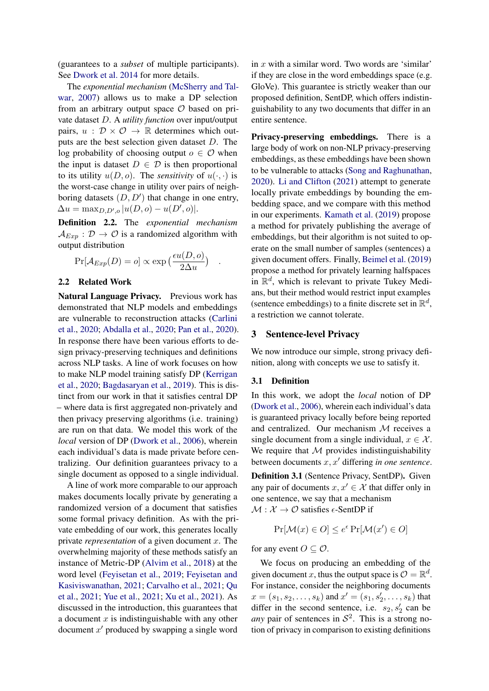(guarantees to a *subset* of multiple participants). See [Dwork et al.](#page-8-10) [2014](#page-8-10) for more details.

The *exponential mechanism* [\(McSherry and Tal](#page-9-10)[war,](#page-9-10) [2007\)](#page-9-10) allows us to make a DP selection from an arbitrary output space  $O$  based on private dataset D. A *utility function* over input/output pairs,  $u : \mathcal{D} \times \mathcal{O} \rightarrow \mathbb{R}$  determines which outputs are the best selection given dataset D. The log probability of choosing output  $o \in \mathcal{O}$  when the input is dataset  $D \in \mathcal{D}$  is then proportional to its utility  $u(D, o)$ . The *sensitivity* of  $u(\cdot, \cdot)$  is the worst-case change in utility over pairs of neighboring datasets  $(D, D')$  that change in one entry,  $\Delta u = \max_{D,D',o} |u(D,o) - u(D',o)|.$ 

<span id="page-2-0"></span>Definition 2.2. The *exponential mechanism*  $\mathcal{A}_{Exp} : \mathcal{D} \to \mathcal{O}$  is a randomized algorithm with output distribution

$$
Pr[\mathcal{A}_{Exp}(D) = o] \propto \exp\left(\frac{\epsilon u(D, o)}{2\Delta u}\right)
$$

.

## 2.2 Related Work

Natural Language Privacy. Previous work has demonstrated that NLP models and embeddings are vulnerable to reconstruction attacks [\(Carlini](#page-8-3) [et al.,](#page-8-3) [2020;](#page-8-3) [Abdalla et al.,](#page-8-2) [2020;](#page-8-2) [Pan et al.,](#page-9-5) [2020\)](#page-9-5). In response there have been various efforts to design privacy-preserving techniques and definitions across NLP tasks. A line of work focuses on how to make NLP model training satisfy DP [\(Kerrigan](#page-9-11) [et al.,](#page-9-11) [2020;](#page-9-11) [Bagdasaryan et al.,](#page-8-11) [2019\)](#page-8-11). This is distinct from our work in that it satisfies central DP – where data is first aggregated non-privately and then privacy preserving algorithms (i.e. training) are run on that data. We model this work of the *local* version of DP [\(Dwork et al.,](#page-8-12) [2006\)](#page-8-12), wherein each individual's data is made private before centralizing. Our definition guarantees privacy to a single document as opposed to a single individual.

A line of work more comparable to our approach makes documents locally private by generating a randomized version of a document that satisfies some formal privacy definition. As with the private embedding of our work, this generates locally private *representation* of a given document x. The overwhelming majority of these methods satisfy an instance of Metric-DP [\(Alvim et al.,](#page-8-5) [2018\)](#page-8-5) at the word level [\(Feyisetan et al.,](#page-8-6) [2019;](#page-8-6) [Feyisetan and](#page-8-7) [Kasiviswanathan,](#page-8-7) [2021;](#page-8-7) [Carvalho et al.,](#page-8-8) [2021;](#page-8-8) [Qu](#page-9-8) [et al.,](#page-9-8) [2021;](#page-9-8) [Yue et al.,](#page-10-1) [2021;](#page-10-1) [Xu et al.,](#page-9-9) [2021\)](#page-9-9). As discussed in the introduction, this guarantees that a document  $x$  is indistinguishable with any other document  $x'$  produced by swapping a single word

in  $x$  with a similar word. Two words are 'similar' if they are close in the word embeddings space (e.g. GloVe). This guarantee is strictly weaker than our proposed definition, SentDP, which offers indistinguishability to any two documents that differ in an entire sentence.

Privacy-preserving embeddings. There is a large body of work on non-NLP privacy-preserving embeddings, as these embeddings have been shown to be vulnerable to attacks [\(Song and Raghunathan,](#page-9-12) [2020\)](#page-9-12). [Li and Clifton](#page-9-13) [\(2021\)](#page-9-13) attempt to generate locally private embeddings by bounding the embedding space, and we compare with this method in our experiments. [Kamath et al.](#page-9-14) [\(2019\)](#page-9-14) propose a method for privately publishing the average of embeddings, but their algorithm is not suited to operate on the small number of samples (sentences) a given document offers. Finally, [Beimel et al.](#page-8-13) [\(2019\)](#page-8-13) propose a method for privately learning halfspaces in  $\mathbb{R}^d$ , which is relevant to private Tukey Medians, but their method would restrict input examples (sentence embeddings) to a finite discrete set in  $\mathbb{R}^d$ , a restriction we cannot tolerate.

## 3 Sentence-level Privacy

We now introduce our simple, strong privacy definition, along with concepts we use to satisfy it.

# 3.1 Definition

In this work, we adopt the *local* notion of DP [\(Dwork et al.,](#page-8-12) [2006\)](#page-8-12), wherein each individual's data is guaranteed privacy locally before being reported and centralized. Our mechanism M receives a single document from a single individual,  $x \in \mathcal{X}$ . We require that  $M$  provides indistinguishability between documents  $x, x'$  differing *in one sentence*.

Definition 3.1 (Sentence Privacy, SentDP). Given any pair of documents  $x, x' \in \mathcal{X}$  that differ only in one sentence, we say that a mechanism  $M : \mathcal{X} \to \mathcal{O}$  satisfies  $\epsilon$ -SentDP if

$$
\Pr[\mathcal{M}(x) \in O] \le e^{\epsilon} \Pr[\mathcal{M}(x') \in O]
$$

for any event  $O \subseteq O$ .

We focus on producing an embedding of the given document x, thus the output space is  $\mathcal{O} = \mathbb{R}^d$ . For instance, consider the neighboring documents  $x = (s_1, s_2, \ldots, s_k)$  and  $x' = (s_1, s'_2, \ldots, s_k)$  that differ in the second sentence, i.e.  $s_2, s'_2$  can be *any* pair of sentences in  $S^2$ . This is a strong notion of privacy in comparison to existing definitions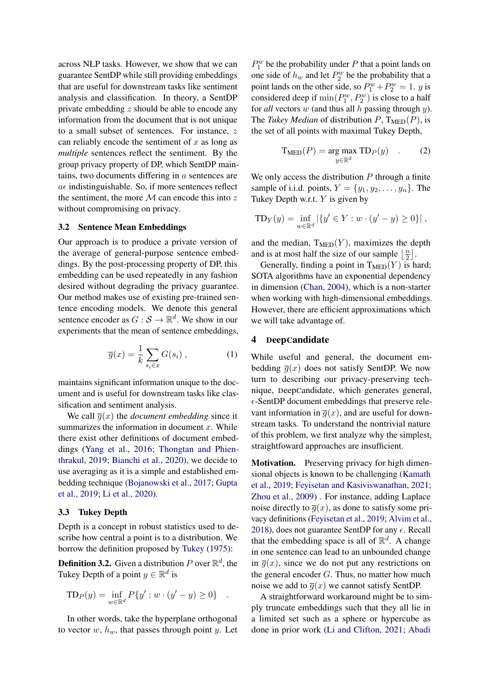across NLP tasks. However, we show that we can guarantee SentDP while still providing embeddings that are useful for downstream tasks like sentiment analysis and classification. In theory, a SentDP private embedding z should be able to encode any information from the document that is not unique to a small subset of sentences. For instance, z can reliably encode the sentiment of  $x$  as long as *multiple* sentences reflect the sentiment. By the group privacy property of DP, which SentDP maintains, two documents differing in a sentences are  $a\epsilon$  indistinguishable. So, if more sentences reflect the sentiment, the more  $M$  can encode this into z without compromising on privacy.

#### 3.2 Sentence Mean Embeddings

Our approach is to produce a private version of the average of general-purpose sentence embeddings. By the post-processing property of DP, this embedding can be used repeatedly in any fashion desired without degrading the privacy guarantee. Our method makes use of existing pre-trained sentence encoding models. We denote this general sentence encoder as  $G : \mathcal{S} \to \mathbb{R}^d$ . We show in our experiments that the mean of sentence embeddings,

$$
\overline{g}(x) = \frac{1}{k} \sum_{s_i \in x} G(s_i) , \qquad (1)
$$

maintains significant information unique to the document and is useful for downstream tasks like classification and sentiment analysis.

We call  $\overline{g}(x)$  the *document embedding* since it summarizes the information in document  $x$ . While there exist other definitions of document embeddings [\(Yang et al.,](#page-10-2) [2016;](#page-10-2) [Thongtan and Phien](#page-9-15)[thrakul,](#page-9-15) [2019;](#page-9-15) [Bianchi et al.,](#page-8-14) [2020\)](#page-8-14), we decide to use averaging as it is a simple and established embedding technique [\(Bojanowski et al.,](#page-8-15) [2017;](#page-8-15) [Gupta](#page-8-16) [et al.,](#page-8-16) [2019;](#page-8-16) [Li et al.,](#page-9-16) [2020\)](#page-9-16).

#### 3.3 Tukey Depth

Depth is a concept in robust statistics used to describe how central a point is to a distribution. We borrow the definition proposed by [Tukey](#page-9-17) [\(1975\)](#page-9-17):

**Definition 3.2.** Given a distribution P over  $\mathbb{R}^d$ , the Tukey Depth of a point  $y \in \mathbb{R}^d$  is

$$
TD_P(y) = \inf_{w \in \mathbb{R}^d} P\{y' : w \cdot (y' - y) \ge 0\} .
$$

In other words, take the hyperplane orthogonal to vector  $w$ ,  $h_w$ , that passes through point  $y$ . Let

 $P_1^w$  be the probability under P that a point lands on one side of  $h_w$  and let  $P_2^w$  be the probability that a point lands on the other side, so  $P_1^w + P_2^w = 1$ . *y* is considered deep if  $\min(P_1^w, P_2^w)$  is close to a half for *all* vectors w (and thus all h passing through y). The *Tukey Median* of distribution  $P$ ,  $T_{\text{MED}}(P)$ , is the set of all points with maximal Tukey Depth,

$$
\mathcal{T}_{\text{MED}}(P) = \underset{y \in \mathbb{R}^d}{\text{arg max }} \mathcal{T} \mathcal{D}_P(y) \quad . \tag{2}
$$

We only access the distribution  $P$  through a finite sample of i.i.d. points,  $Y = \{y_1, y_2, \dots, y_n\}$ . The Tukey Depth w.r.t.  $Y$  is given by

$$
TD_Y(y) = \inf_{w \in \mathbb{R}^d} |\{y' \in Y : w \cdot (y' - y) \ge 0\}|,
$$

and the median,  $T_{\text{MED}}(Y)$ , maximizes the depth and is at most half the size of our sample  $\frac{n}{2}$  $\frac{n}{2}$ .

Generally, finding a point in  $T_{\text{MED}}(Y)$  is hard; SOTA algorithms have an exponential dependency in dimension [\(Chan,](#page-8-17) [2004\)](#page-8-17), which is a non-starter when working with high-dimensional embeddings. However, there are efficient approximations which we will take advantage of.

## <span id="page-3-0"></span>4 DeepCandidate

While useful and general, the document embedding  $\overline{g}(x)$  does not satisfy SentDP. We now turn to describing our privacy-preserving technique, DeepCandidate, which generates general,  $\epsilon$ -SentDP document embeddings that preserve relevant information in  $\overline{q}(x)$ , and are useful for downstream tasks. To understand the nontrivial nature of this problem, we first analyze why the simplest, straightfoward approaches are insufficient.

Motivation. Preserving privacy for high dimensional objects is known to be challenging [\(Kamath](#page-9-14) [et al.,](#page-9-14) [2019;](#page-9-14) [Feyisetan and Kasiviswanathan,](#page-8-7) [2021;](#page-8-7) [Zhou et al.,](#page-10-3) [2009\)](#page-10-3) . For instance, adding Laplace noise directly to  $\overline{q}(x)$ , as done to satisfy some privacy definitions [\(Feyisetan et al.,](#page-8-6) [2019;](#page-8-6) [Alvim et al.,](#page-8-5) [2018\)](#page-8-5), does not guarantee SentDP for any  $\epsilon$ . Recall that the embedding space is all of  $\mathbb{R}^d$ . A change in one sentence can lead to an unbounded change in  $\overline{g}(x)$ , since we do not put any restrictions on the general encoder  $G$ . Thus, no matter how much noise we add to  $\overline{g}(x)$  we cannot satisfy SentDP.

A straightforward workaround might be to simply truncate embeddings such that they all lie in a limited set such as a sphere or hypercube as done in prior work [\(Li and Clifton,](#page-9-13) [2021;](#page-9-13) [Abadi](#page-8-18)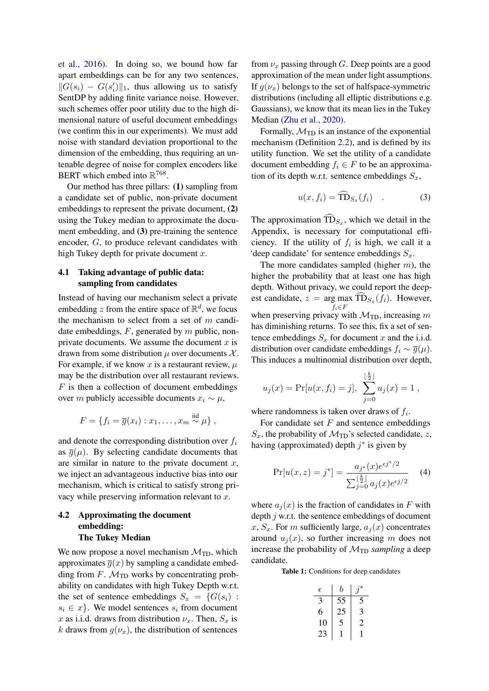[et al.,](#page-8-18) [2016\)](#page-8-18). In doing so, we bound how far apart embeddings can be for any two sentences,  $||G(s_i) - G(s'_i)||_1$ , thus allowing us to satisfy SentDP by adding finite variance noise. However, such schemes offer poor utility due to the high dimensional nature of useful document embeddings (we confirm this in our experiments). We must add noise with standard deviation proportional to the dimension of the embedding, thus requiring an untenable degree of noise for complex encoders like BERT which embed into  $\mathbb{R}^{768}$ .

Our method has three pillars: (1) sampling from a candidate set of public, non-private document embeddings to represent the private document, (2) using the Tukey median to approximate the document embedding, and (3) pre-training the sentence encoder, G, to produce relevant candidates with high Tukey depth for private document  $x$ .

## 4.1 Taking advantage of public data: sampling from candidates

Instead of having our mechanism select a private embedding z from the entire space of  $\mathbb{R}^d$ , we focus the mechanism to select from a set of  $m$  candidate embeddings,  $F$ , generated by  $m$  public, nonprivate documents. We assume the document  $x$  is drawn from some distribution  $\mu$  over documents  $\mathcal{X}$ . For example, if we know x is a restaurant review,  $\mu$ may be the distribution over all restaurant reviews.  $F$  is then a collection of document embeddings over m publicly accessible documents  $x_i \sim \mu$ ,

$$
F = \{f_i = \overline{g}(x_i) : x_1, \ldots, x_m \stackrel{\text{iid}}{\sim} \mu\},
$$

and denote the corresponding distribution over  $f_i$ as  $\overline{g}(\mu)$ . By selecting candidate documents that are similar in nature to the private document  $x$ , we inject an advantageous inductive bias into our mechanism, which is critical to satisfy strong privacy while preserving information relevant to  $x$ .

# <span id="page-4-2"></span>4.2 Approximating the document embedding: The Tukey Median

We now propose a novel mechanism  $\mathcal{M}_{\text{TD}}$ , which approximates  $\overline{g}(x)$  by sampling a candidate embedding from  $F$ .  $M_{\text{TD}}$  works by concentrating probability on candidates with high Tukey Depth w.r.t. the set of sentence embeddings  $S_x = \{G(s_i)$ :  $s_i \in \mathcal{X}$ . We model sentences  $s_i$  from document x as i.i.d. draws from distribution  $\nu_x$ . Then,  $S_x$  is k draws from  $g(\nu_x)$ , the distribution of sentences

from  $\nu_x$  passing through G. Deep points are a good approximation of the mean under light assumptions. If  $q(\nu_x)$  belongs to the set of halfspace-symmetric distributions (including all elliptic distributions e.g. Gaussians), we know that its mean lies in the Tukey Median [\(Zhu et al.,](#page-10-4) [2020\)](#page-10-4).

Formally,  $\mathcal{M}_{\text{TD}}$  is an instance of the exponential mechanism (Definition [2.2\)](#page-2-0), and is defined by its utility function. We set the utility of a candidate document embedding  $f_i \in F$  to be an approximation of its depth w.r.t. sentence embeddings  $S_x$ ,

<span id="page-4-1"></span>
$$
u(x, f_i) = \widehat{\text{TD}}_{S_x}(f_i) \quad . \tag{3}
$$

The approximation  $TD_{S_x}$ , which we detail in the Appendix, is necessary for computational efficiency. If the utility of  $f_i$  is high, we call it a 'deep candidate' for sentence embeddings  $S_x$ .

The more candidates sampled (higher  $m$ ), the higher the probability that at least one has high depth. Without privacy, we could report the deepest candidate,  $z = \arg \max_{f, \subset F} \text{TD}_{S_x}(f_i)$ . However,  $f_i \in F$ when preserving privacy with  $\mathcal{M}_{\text{TD}}$ , increasing m has diminishing returns. To see this, fix a set of sentence embeddings  $S_x$  for document x and the i.i.d. distribution over candidate embeddings  $f_i \sim \overline{g}(\mu)$ . This induces a multinomial distribution over depth,

$$
u_j(x) = Pr[u(x, f_i) = j],
$$
 
$$
\sum_{j=0}^{\lfloor \frac{k}{2} \rfloor} u_j(x) = 1,
$$

where randomness is taken over draws of  $f_i$ .

For candidate set  $F$  and sentence embeddings  $S_x$ , the probability of  $\mathcal{M}_{\text{TD}}$ 's selected candidate, z, having (approximated) depth  $j^*$  is given by

$$
\Pr[u(x,z) = j^*] = \frac{a_{j^*}(x)e^{\epsilon j^*/2}}{\sum_{j=0}^{\lfloor \frac{k}{2} \rfloor} a_j(x)e^{\epsilon j/2}} \tag{4}
$$

where  $a_i(x)$  is the fraction of candidates in F with depth  $j$  w.r.t. the sentence embeddings of document x,  $S_x$ . For m sufficiently large,  $a_i(x)$  concentrates around  $u_i(x)$ , so further increasing m does not increase the probability of  $M_{\text{TD}}$  *sampling* a deep candidate.

<span id="page-4-0"></span>Table 1: Conditions for deep candidates

| $\epsilon$ | h  |   |
|------------|----|---|
| 3          | 55 | 5 |
| 6          | 25 | 3 |
| 10         | 5  | 2 |
| 23         |    |   |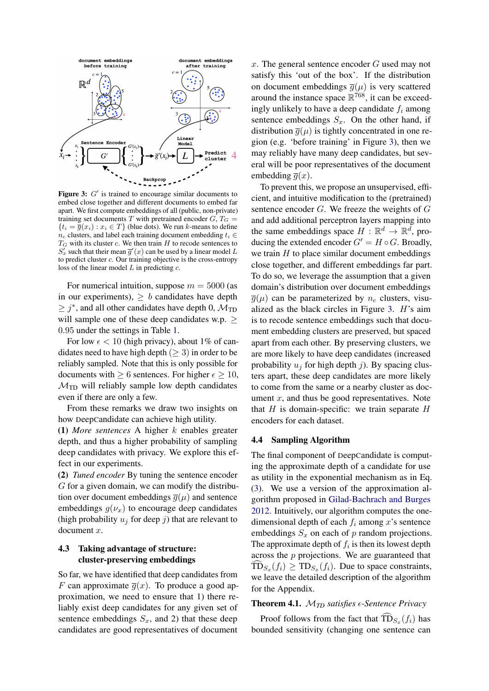<span id="page-5-0"></span>

Figure 3:  $G'$  is trained to encourage similar documents to embed close together and different documents to embed far apart. We first compute embeddings of all (public, non-private) training set documents T with pretrained encoder  $G, T_G =$  ${t_i = \overline{g}(x_i) : x_i \in T}$  (blue dots). We run k-means to define  $n_c$  clusters, and label each training document embedding  $t_i \in$  $T_G$  with its cluster c. We then train H to recode sentences to  $S'_x$  such that their mean  $\overline{g}'(x)$  can be used by a linear model L to predict cluster c. Our training objective is the cross-entropy loss of the linear model  $L$  in predicting  $c$ .

For numerical intuition, suppose  $m = 5000$  (as in our experiments),  $\geq b$  candidates have depth  $\geq j^*$ , and all other candidates have depth 0,  $\mathcal{M}_{\text{TD}}$ will sample one of these deep candidates w.p.  $>$ 0.95 under the settings in Table [1.](#page-4-0)

For low  $\epsilon$  < 10 (high privacy), about 1% of candidates need to have high depth  $(≥ 3)$  in order to be reliably sampled. Note that this is only possible for documents with  $\geq 6$  sentences. For higher  $\epsilon \geq 10$ ,  $M_{\text{TD}}$  will reliably sample low depth candidates even if there are only a few.

From these remarks we draw two insights on how DeepCandidate can achieve high utility.

(1) *More sentences* A higher k enables greater depth, and thus a higher probability of sampling deep candidates with privacy. We explore this effect in our experiments.

(2) *Tuned encoder* By tuning the sentence encoder G for a given domain, we can modify the distribution over document embeddings  $\overline{g}(\mu)$  and sentence embeddings  $g(\nu_x)$  to encourage deep candidates (high probability  $u_j$  for deep j) that are relevant to document x.

# 4.3 Taking advantage of structure: cluster-preserving embeddings

So far, we have identified that deep candidates from F can approximate  $\overline{g}(x)$ . To produce a good approximation, we need to ensure that 1) there reliably exist deep candidates for any given set of sentence embeddings  $S_x$ , and 2) that these deep candidates are good representatives of document

 $x$ . The general sentence encoder  $G$  used may not satisfy this 'out of the box'. If the distribution on document embeddings  $\overline{q}(\mu)$  is very scattered around the instance space  $\mathbb{R}^{768}$ , it can be exceedingly unlikely to have a deep candidate  $f_i$  among sentence embeddings  $S_x$ . On the other hand, if distribution  $\overline{g}(\mu)$  is tightly concentrated in one region (e.g. 'before training' in Figure [3\)](#page-5-0), then we may reliably have many deep candidates, but several will be poor representatives of the document embedding  $\overline{q}(x)$ .

To prevent this, we propose an unsupervised, efficient, and intuitive modification to the (pretrained) sentence encoder  $G$ . We freeze the weights of  $G$ and add additional perceptron layers mapping into the same embeddings space  $H : \mathbb{R}^d \to \mathbb{R}^d$ , producing the extended encoder  $G' = H \circ G$ . Broadly, we train  $H$  to place similar document embeddings close together, and different embeddings far part. To do so, we leverage the assumption that a given domain's distribution over document embeddings  $\overline{g}(\mu)$  can be parameterized by  $n_c$  clusters, visualized as the black circles in Figure [3.](#page-5-0) H's aim is to recode sentence embeddings such that document embedding clusters are preserved, but spaced apart from each other. By preserving clusters, we are more likely to have deep candidates (increased probability  $u_j$  for high depth j). By spacing clusters apart, these deep candidates are more likely to come from the same or a nearby cluster as document  $x$ , and thus be good representatives. Note that  $H$  is domain-specific: we train separate  $H$ encoders for each dataset.

#### 4.4 Sampling Algorithm

The final component of DeepCandidate is computing the approximate depth of a candidate for use as utility in the exponential mechanism as in Eq. [\(3\)](#page-4-1). We use a version of the approximation algorithm proposed in [Gilad-Bachrach and Burges](#page-8-19) [2012.](#page-8-19) Intuitively, our algorithm computes the onedimensional depth of each  $f_i$  among x's sentence embeddings  $S_x$  on each of p random projections. The approximate depth of  $f_i$  is then its lowest depth across the p projections. We are guaranteed that  $TD_{S_x}(f_i) \geq TD_{S_x}(f_i)$ . Due to space constraints, we leave the detailed description of the algorithm for the Appendix.

# <span id="page-5-1"></span>Theorem 4.1. M*TD satisfies -Sentence Privacy*

Proof follows from the fact that  $\text{TD}_{S_x}(f_i)$  has bounded sensitivity (changing one sentence can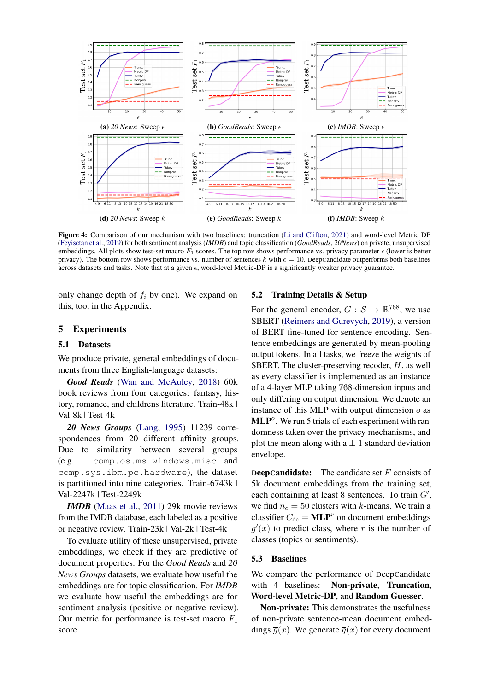<span id="page-6-0"></span>

Figure 4: Comparison of our mechanism with two baselines: truncation [\(Li and Clifton,](#page-9-13) [2021\)](#page-9-13) and word-level Metric DP [\(Feyisetan et al.,](#page-8-6) [2019\)](#page-8-6) for both sentiment analysis (*IMDB*) and topic classification (*GoodReads*, *20News*) on private, unsupervised embeddings. All plots show test-set macro  $F_1$  scores. The top row shows performance vs. privacy parameter  $\epsilon$  (lower is better privacy). The bottom row shows performance vs. number of sentences k with  $\epsilon = 10$ . DeepCandidate outperforms both baselines across datasets and tasks. Note that at a given  $\epsilon$ , word-level Metric-DP is a significantly weaker privacy guarantee.

only change depth of  $f_i$  by one). We expand on this, too, in the Appendix.

# <span id="page-6-1"></span>5 Experiments

## 5.1 Datasets

We produce private, general embeddings of documents from three English-language datasets:

*Good Reads* [\(Wan and McAuley,](#page-9-18) [2018\)](#page-9-18) 60k book reviews from four categories: fantasy, history, romance, and childrens literature. Train-48k | Val-8k | Test-4k

*20 News Groups* [\(Lang,](#page-9-19) [1995\)](#page-9-19) 11239 correspondences from 20 different affinity groups. Due to similarity between several groups (e.g. comp.os.ms-windows.misc and comp.sys.ibm.pc.hardware), the dataset is partitioned into nine categories. Train-6743k | Val-2247k | Test-2249k

*IMDB* [\(Maas et al.,](#page-9-20) [2011\)](#page-9-20) 29k movie reviews from the IMDB database, each labeled as a positive or negative review. Train-23k | Val-2k | Test-4k

To evaluate utility of these unsupervised, private embeddings, we check if they are predictive of document properties. For the *Good Reads* and *20 News Groups* datasets, we evaluate how useful the embeddings are for topic classification. For *IMDB* we evaluate how useful the embeddings are for sentiment analysis (positive or negative review). Our metric for performance is test-set macro  $F_1$ score.

### 5.2 Training Details & Setup

For the general encoder,  $G : \mathcal{S} \to \mathbb{R}^{768}$ , we use SBERT [\(Reimers and Gurevych,](#page-9-21) [2019\)](#page-9-21), a version of BERT fine-tuned for sentence encoding. Sentence embeddings are generated by mean-pooling output tokens. In all tasks, we freeze the weights of SBERT. The cluster-preserving recoder,  $H$ , as well as every classifier is implemented as an instance of a 4-layer MLP taking 768-dimension inputs and only differing on output dimension. We denote an instance of this MLP with output dimension  $\rho$  as  $MLP<sup>o</sup>$ . We run 5 trials of each experiment with randomness taken over the privacy mechanisms, and plot the mean along with  $a \pm 1$  standard deviation envelope.

**DeepCandidate:** The candidate set  $F$  consists of 5k document embeddings from the training set, each containing at least 8 sentences. To train  $G'$ , we find  $n_c = 50$  clusters with k-means. We train a classifier  $C_{\text{dc}} = \text{MLP}^r$  on document embeddings  $g'(x)$  to predict class, where r is the number of classes (topics or sentiments).

## 5.3 Baselines

We compare the performance of DeepCandidate with 4 baselines: Non-private, Truncation, Word-level Metric-DP, and Random Guesser.

Non-private: This demonstrates the usefulness of non-private sentence-mean document embeddings  $\overline{q}(x)$ . We generate  $\overline{q}(x)$  for every document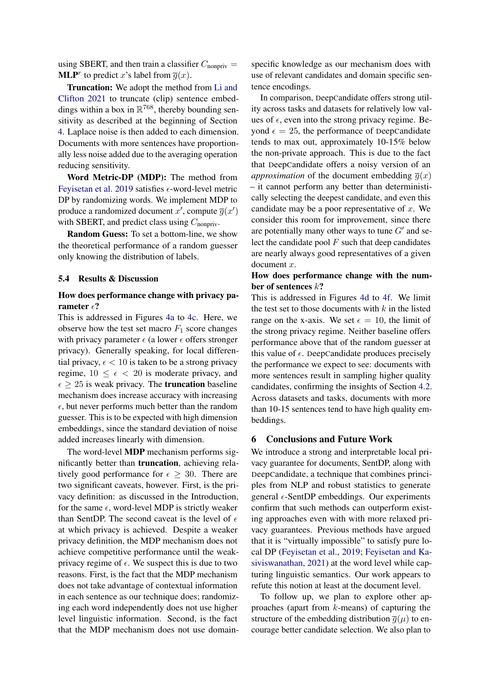using SBERT, and then train a classifier  $C_{\text{nonpriv}} =$ **MLP**<sup>r</sup> to predict x's label from  $\overline{g}(x)$ .

Truncation: We adopt the method from [Li and](#page-9-13) [Clifton](#page-9-13) [2021](#page-9-13) to truncate (clip) sentence embeddings within a box in  $\mathbb{R}^{768}$ , thereby bounding sensitivity as described at the beginning of Section [4.](#page-3-0) Laplace noise is then added to each dimension. Documents with more sentences have proportionally less noise added due to the averaging operation reducing sensitivity.

Word Metric-DP (MDP): The method from [Feyisetan et al.](#page-8-6) [2019](#page-8-6) satisfies  $\epsilon$ -word-level metric DP by randomizing words. We implement MDP to produce a randomized document x', compute  $\overline{g}(x')$ with SBERT, and predict class using  $C_{\text{nonpriv}}$ .

Random Guess: To set a bottom-line, we show the theoretical performance of a random guesser only knowing the distribution of labels.

## 5.4 Results & Discussion

# How does performance change with privacy parameter  $\epsilon$ ?

This is addressed in Figures [4a](#page-6-0) to [4c.](#page-6-0) Here, we observe how the test set macro  $F_1$  score changes with privacy parameter  $\epsilon$  (a lower  $\epsilon$  offers stronger privacy). Generally speaking, for local differential privacy,  $\epsilon$  < 10 is taken to be a strong privacy regime,  $10 \leq \epsilon < 20$  is moderate privacy, and  $\epsilon \geq 25$  is weak privacy. The **truncation** baseline mechanism does increase accuracy with increasing  $\epsilon$ , but never performs much better than the random guesser. This is to be expected with high dimension embeddings, since the standard deviation of noise added increases linearly with dimension.

The word-level MDP mechanism performs significantly better than truncation, achieving relatively good performance for  $\epsilon \geq 30$ . There are two significant caveats, however. First, is the privacy definition: as discussed in the Introduction, for the same  $\epsilon$ , word-level MDP is strictly weaker than SentDP. The second caveat is the level of  $\epsilon$ at which privacy is achieved. Despite a weaker privacy definition, the MDP mechanism does not achieve competitive performance until the weakprivacy regime of  $\epsilon$ . We suspect this is due to two reasons. First, is the fact that the MDP mechanism does not take advantage of contextual information in each sentence as our technique does; randomizing each word independently does not use higher level linguistic information. Second, is the fact that the MDP mechanism does not use domainspecific knowledge as our mechanism does with use of relevant candidates and domain specific sentence encodings.

In comparison, DeepCandidate offers strong utility across tasks and datasets for relatively low values of  $\epsilon$ , even into the strong privacy regime. Beyond  $\epsilon = 25$ , the performance of DeepCandidate tends to max out, approximately 10-15% below the non-private approach. This is due to the fact that DeepCandidate offers a noisy version of an *approximation* of the document embedding  $\overline{g}(x)$ – it cannot perform any better than deterministically selecting the deepest candidate, and even this candidate may be a poor representative of  $x$ . We consider this room for improvement, since there are potentially many other ways to tune  $G'$  and select the candidate pool  $F$  such that deep candidates are nearly always good representatives of a given document x.

# How does performance change with the number of sentences k?

This is addressed in Figures [4d](#page-6-0) to [4f.](#page-6-0) We limit the test set to those documents with  $k$  in the listed range on the x-axis. We set  $\epsilon = 10$ , the limit of the strong privacy regime. Neither baseline offers performance above that of the random guesser at this value of  $\epsilon$ . DeepCandidate produces precisely the performance we expect to see: documents with more sentences result in sampling higher quality candidates, confirming the insights of Section [4.2.](#page-4-2) Across datasets and tasks, documents with more than 10-15 sentences tend to have high quality embeddings.

# 6 Conclusions and Future Work

We introduce a strong and interpretable local privacy guarantee for documents, SentDP, along with DeepCandidate, a technique that combines principles from NLP and robust statistics to generate general  $\epsilon$ -SentDP embeddings. Our experiments confirm that such methods can outperform existing approaches even with with more relaxed privacy guarantees. Previous methods have argued that it is "virtually impossible" to satisfy pure local DP [\(Feyisetan et al.,](#page-8-6) [2019;](#page-8-6) [Feyisetan and Ka](#page-8-7)[siviswanathan,](#page-8-7) [2021\)](#page-8-7) at the word level while capturing linguistic semantics. Our work appears to refute this notion at least at the document level.

To follow up, we plan to explore other approaches (apart from  $k$ -means) of capturing the structure of the embedding distribution  $\overline{q}(\mu)$  to encourage better candidate selection. We also plan to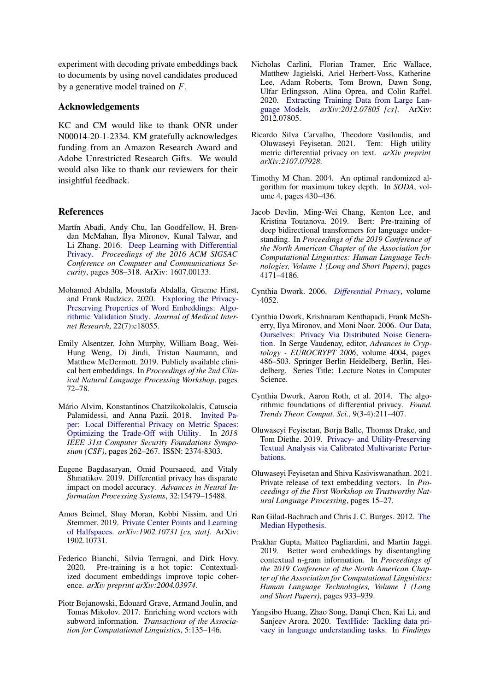experiment with decoding private embeddings back to documents by using novel candidates produced by a generative model trained on F.

## Acknowledgements

KC and CM would like to thank ONR under N00014-20-1-2334. KM gratefully acknowledges funding from an Amazon Research Award and Adobe Unrestricted Research Gifts. We would would also like to thank our reviewers for their insightful feedback.

# References

- <span id="page-8-18"></span>Martín Abadi, Andy Chu, Ian Goodfellow, H. Brendan McMahan, Ilya Mironov, Kunal Talwar, and Li Zhang. 2016. [Deep Learning with Differential](https://doi.org/10.1145/2976749.2978318) [Privacy.](https://doi.org/10.1145/2976749.2978318) *Proceedings of the 2016 ACM SIGSAC Conference on Computer and Communications Security*, pages 308–318. ArXiv: 1607.00133.
- <span id="page-8-2"></span>Mohamed Abdalla, Moustafa Abdalla, Graeme Hirst, and Frank Rudzicz. 2020. [Exploring the Privacy-](https://doi.org/10.2196/18055)[Preserving Properties of Word Embeddings: Algo](https://doi.org/10.2196/18055)[rithmic Validation Study.](https://doi.org/10.2196/18055) *Journal of Medical Internet Research*, 22(7):e18055.
- <span id="page-8-1"></span>Emily Alsentzer, John Murphy, William Boag, Wei-Hung Weng, Di Jindi, Tristan Naumann, and Matthew McDermott. 2019. Publicly available clinical bert embeddings. In *Proceedings of the 2nd Clinical Natural Language Processing Workshop*, pages 72–78.
- <span id="page-8-5"></span>Mário Alvim, Konstantinos Chatzikokolakis, Catuscia Palamidessi, and Anna Pazii. 2018. [Invited Pa](https://doi.org/10.1109/CSF.2018.00026)[per: Local Differential Privacy on Metric Spaces:](https://doi.org/10.1109/CSF.2018.00026) [Optimizing the Trade-Off with Utility.](https://doi.org/10.1109/CSF.2018.00026) In *2018 IEEE 31st Computer Security Foundations Symposium (CSF)*, pages 262–267. ISSN: 2374-8303.
- <span id="page-8-11"></span>Eugene Bagdasaryan, Omid Poursaeed, and Vitaly Shmatikov. 2019. Differential privacy has disparate impact on model accuracy. *Advances in Neural Information Processing Systems*, 32:15479–15488.
- <span id="page-8-13"></span>Amos Beimel, Shay Moran, Kobbi Nissim, and Uri Stemmer. 2019. [Private Center Points and Learning](http://arxiv.org/abs/1902.10731) [of Halfspaces.](http://arxiv.org/abs/1902.10731) *arXiv:1902.10731 [cs, stat]*. ArXiv: 1902.10731.
- <span id="page-8-14"></span>Federico Bianchi, Silvia Terragni, and Dirk Hovy. 2020. Pre-training is a hot topic: Contextualized document embeddings improve topic coherence. *arXiv preprint arXiv:2004.03974*.
- <span id="page-8-15"></span>Piotr Bojanowski, Edouard Grave, Armand Joulin, and Tomas Mikolov. 2017. Enriching word vectors with subword information. *Transactions of the Association for Computational Linguistics*, 5:135–146.
- <span id="page-8-3"></span>Nicholas Carlini, Florian Tramer, Eric Wallace, Matthew Jagielski, Ariel Herbert-Voss, Katherine Lee, Adam Roberts, Tom Brown, Dawn Song, Ulfar Erlingsson, Alina Oprea, and Colin Raffel. 2020. [Extracting Training Data from Large Lan](http://arxiv.org/abs/2012.07805)[guage Models.](http://arxiv.org/abs/2012.07805) *arXiv:2012.07805 [cs]*. ArXiv: 2012.07805.
- <span id="page-8-8"></span>Ricardo Silva Carvalho, Theodore Vasiloudis, and Oluwaseyi Feyisetan. 2021. Tem: High utility metric differential privacy on text. *arXiv preprint arXiv:2107.07928*.
- <span id="page-8-17"></span>Timothy M Chan. 2004. An optimal randomized algorithm for maximum tukey depth. In *SODA*, volume 4, pages 430–436.
- <span id="page-8-0"></span>Jacob Devlin, Ming-Wei Chang, Kenton Lee, and Kristina Toutanova. 2019. Bert: Pre-training of deep bidirectional transformers for language understanding. In *Proceedings of the 2019 Conference of the North American Chapter of the Association for Computational Linguistics: Human Language Technologies, Volume 1 (Long and Short Papers)*, pages 4171–4186.
- <span id="page-8-9"></span>Cynthia Dwork. 2006. *[Differential Privacy](https://www.microsoft.com/en-us/research/publication/differential-privacy/)*, volume 4052.
- <span id="page-8-12"></span>Cynthia Dwork, Krishnaram Kenthapadi, Frank McSherry, Ilya Mironov, and Moni Naor. 2006. [Our Data,](https://doi.org/10.1007/11761679_29) [Ourselves: Privacy Via Distributed Noise Genera](https://doi.org/10.1007/11761679_29)[tion.](https://doi.org/10.1007/11761679_29) In Serge Vaudenay, editor, *Advances in Cryptology - EUROCRYPT 2006*, volume 4004, pages 486–503. Springer Berlin Heidelberg, Berlin, Heidelberg. Series Title: Lecture Notes in Computer Science.
- <span id="page-8-10"></span>Cynthia Dwork, Aaron Roth, et al. 2014. The algorithmic foundations of differential privacy. *Found. Trends Theor. Comput. Sci.*, 9(3-4):211–407.
- <span id="page-8-6"></span>Oluwaseyi Feyisetan, Borja Balle, Thomas Drake, and Tom Diethe. 2019. [Privacy- and Utility-Preserving](https://arxiv.org/abs/1910.08902v1) [Textual Analysis via Calibrated Multivariate Pertur](https://arxiv.org/abs/1910.08902v1)[bations.](https://arxiv.org/abs/1910.08902v1)
- <span id="page-8-7"></span>Oluwaseyi Feyisetan and Shiva Kasiviswanathan. 2021. Private release of text embedding vectors. In *Proceedings of the First Workshop on Trustworthy Natural Language Processing*, pages 15–27.
- <span id="page-8-19"></span>Ran Gilad-Bachrach and Chris J. C. Burges. 2012. [The](https://www.microsoft.com/en-us/research/publication/the-median-hypothesis/) [Median Hypothesis.](https://www.microsoft.com/en-us/research/publication/the-median-hypothesis/)
- <span id="page-8-16"></span>Prakhar Gupta, Matteo Pagliardini, and Martin Jaggi. 2019. Better word embeddings by disentangling contextual n-gram information. In *Proceedings of the 2019 Conference of the North American Chapter of the Association for Computational Linguistics: Human Language Technologies, Volume 1 (Long and Short Papers)*, pages 933–939.
- <span id="page-8-4"></span>Yangsibo Huang, Zhao Song, Danqi Chen, Kai Li, and Sanjeev Arora. 2020. [TextHide: Tackling data pri](https://doi.org/10.18653/v1/2020.findings-emnlp.123)[vacy in language understanding tasks.](https://doi.org/10.18653/v1/2020.findings-emnlp.123) In *Findings*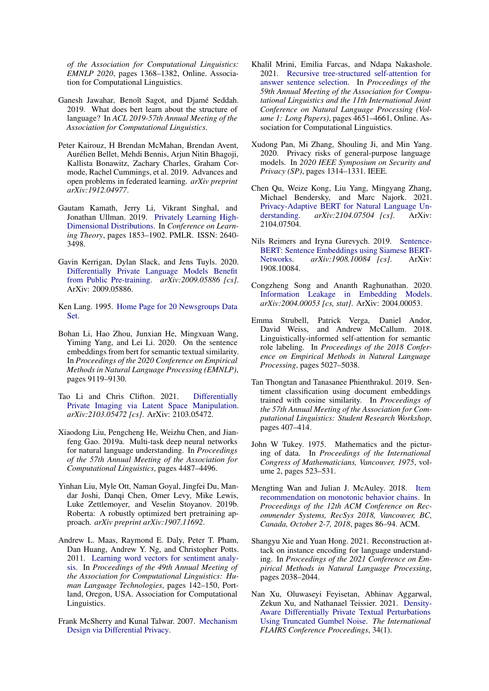*of the Association for Computational Linguistics: EMNLP 2020*, pages 1368–1382, Online. Association for Computational Linguistics.

- <span id="page-9-4"></span>Ganesh Jawahar, Benoît Sagot, and Djamé Seddah. 2019. What does bert learn about the structure of language? In *ACL 2019-57th Annual Meeting of the Association for Computational Linguistics*.
- <span id="page-9-7"></span>Peter Kairouz, H Brendan McMahan, Brendan Avent, Aurélien Bellet, Mehdi Bennis, Arjun Nitin Bhagoji, Kallista Bonawitz, Zachary Charles, Graham Cormode, Rachel Cummings, et al. 2019. Advances and open problems in federated learning. *arXiv preprint arXiv:1912.04977*.
- <span id="page-9-14"></span>Gautam Kamath, Jerry Li, Vikrant Singhal, and Jonathan Ullman. 2019. [Privately Learning High-](http://proceedings.mlr.press/v99/kamath19a.html)[Dimensional Distributions.](http://proceedings.mlr.press/v99/kamath19a.html) In *Conference on Learning Theory*, pages 1853–1902. PMLR. ISSN: 2640- 3498.
- <span id="page-9-11"></span>Gavin Kerrigan, Dylan Slack, and Jens Tuyls. 2020. [Differentially Private Language Models Benefit](http://arxiv.org/abs/2009.05886) [from Public Pre-training.](http://arxiv.org/abs/2009.05886) *arXiv:2009.05886 [cs]*. ArXiv: 2009.05886.
- <span id="page-9-19"></span>Ken Lang. 1995. [Home Page for 20 Newsgroups Data](http://qwone.com/~jason/20Newsgroups/) [Set.](http://qwone.com/~jason/20Newsgroups/)
- <span id="page-9-16"></span>Bohan Li, Hao Zhou, Junxian He, Mingxuan Wang, Yiming Yang, and Lei Li. 2020. On the sentence embeddings from bert for semantic textual similarity. In *Proceedings of the 2020 Conference on Empirical Methods in Natural Language Processing (EMNLP)*, pages 9119–9130.
- <span id="page-9-13"></span>Tao Li and Chris Clifton. 2021. [Differentially](http://arxiv.org/abs/2103.05472) [Private Imaging via Latent Space Manipulation.](http://arxiv.org/abs/2103.05472) *arXiv:2103.05472 [cs]*. ArXiv: 2103.05472.
- <span id="page-9-2"></span>Xiaodong Liu, Pengcheng He, Weizhu Chen, and Jianfeng Gao. 2019a. Multi-task deep neural networks for natural language understanding. In *Proceedings of the 57th Annual Meeting of the Association for Computational Linguistics*, pages 4487–4496.
- <span id="page-9-0"></span>Yinhan Liu, Myle Ott, Naman Goyal, Jingfei Du, Mandar Joshi, Danqi Chen, Omer Levy, Mike Lewis, Luke Zettlemoyer, and Veselin Stoyanov. 2019b. Roberta: A robustly optimized bert pretraining approach. *arXiv preprint arXiv:1907.11692*.
- <span id="page-9-20"></span>Andrew L. Maas, Raymond E. Daly, Peter T. Pham, Dan Huang, Andrew Y. Ng, and Christopher Potts. 2011. [Learning word vectors for sentiment analy](http://www.aclweb.org/anthology/P11-1015)[sis.](http://www.aclweb.org/anthology/P11-1015) In *Proceedings of the 49th Annual Meeting of the Association for Computational Linguistics: Human Language Technologies*, pages 142–150, Portland, Oregon, USA. Association for Computational Linguistics.
- <span id="page-9-10"></span>Frank McSherry and Kunal Talwar. 2007. [Mechanism](https://www.microsoft.com/en-us/research/publication/mechanism-design-via-differential-privacy/) [Design via Differential Privacy.](https://www.microsoft.com/en-us/research/publication/mechanism-design-via-differential-privacy/)
- <span id="page-9-3"></span>Khalil Mrini, Emilia Farcas, and Ndapa Nakashole. 2021. [Recursive tree-structured self-attention for](https://doi.org/10.18653/v1/2021.acl-long.358) [answer sentence selection.](https://doi.org/10.18653/v1/2021.acl-long.358) In *Proceedings of the 59th Annual Meeting of the Association for Computational Linguistics and the 11th International Joint Conference on Natural Language Processing (Volume 1: Long Papers)*, pages 4651–4661, Online. Association for Computational Linguistics.
- <span id="page-9-5"></span>Xudong Pan, Mi Zhang, Shouling Ji, and Min Yang. 2020. Privacy risks of general-purpose language models. In *2020 IEEE Symposium on Security and Privacy (SP)*, pages 1314–1331. IEEE.
- <span id="page-9-8"></span>Chen Qu, Weize Kong, Liu Yang, Mingyang Zhang, Michael Bendersky, and Marc Najork. 2021. [Privacy-Adaptive BERT for Natural Language Un](http://arxiv.org/abs/2104.07504)[derstanding.](http://arxiv.org/abs/2104.07504) *arXiv:2104.07504 [cs]*. ArXiv: 2104.07504.
- <span id="page-9-21"></span>Nils Reimers and Iryna Gurevych. 2019. [Sentence-](http://arxiv.org/abs/1908.10084)[BERT: Sentence Embeddings using Siamese BERT-](http://arxiv.org/abs/1908.10084)[Networks.](http://arxiv.org/abs/1908.10084) *arXiv:1908.10084 [cs]*. ArXiv: 1908.10084.
- <span id="page-9-12"></span>Congzheng Song and Ananth Raghunathan. 2020. [Information Leakage in Embedding Models.](http://arxiv.org/abs/2004.00053) *arXiv:2004.00053 [cs, stat]*. ArXiv: 2004.00053.
- <span id="page-9-1"></span>Emma Strubell, Patrick Verga, Daniel Andor, David Weiss, and Andrew McCallum. 2018. Linguistically-informed self-attention for semantic role labeling. In *Proceedings of the 2018 Conference on Empirical Methods in Natural Language Processing*, pages 5027–5038.
- <span id="page-9-15"></span>Tan Thongtan and Tanasanee Phienthrakul. 2019. Sentiment classification using document embeddings trained with cosine similarity. In *Proceedings of the 57th Annual Meeting of the Association for Computational Linguistics: Student Research Workshop*, pages 407–414.
- <span id="page-9-17"></span>John W Tukey. 1975. Mathematics and the picturing of data. In *Proceedings of the International Congress of Mathematicians, Vancouver, 1975*, volume 2, pages 523–531.
- <span id="page-9-18"></span>Mengting Wan and Julian J. McAuley. 2018. [Item](https://doi.org/10.1145/3240323.3240369) [recommendation on monotonic behavior chains.](https://doi.org/10.1145/3240323.3240369) In *Proceedings of the 12th ACM Conference on Recommender Systems, RecSys 2018, Vancouver, BC, Canada, October 2-7, 2018*, pages 86–94. ACM.
- <span id="page-9-6"></span>Shangyu Xie and Yuan Hong. 2021. Reconstruction attack on instance encoding for language understanding. In *Proceedings of the 2021 Conference on Empirical Methods in Natural Language Processing*, pages 2038–2044.
- <span id="page-9-9"></span>Nan Xu, Oluwaseyi Feyisetan, Abhinav Aggarwal, Zekun Xu, and Nathanael Teissier. 2021. [Density-](https://doi.org/10.32473/flairs.v34i1.128463)[Aware Differentially Private Textual Perturbations](https://doi.org/10.32473/flairs.v34i1.128463) [Using Truncated Gumbel Noise.](https://doi.org/10.32473/flairs.v34i1.128463) *The International FLAIRS Conference Proceedings*, 34(1).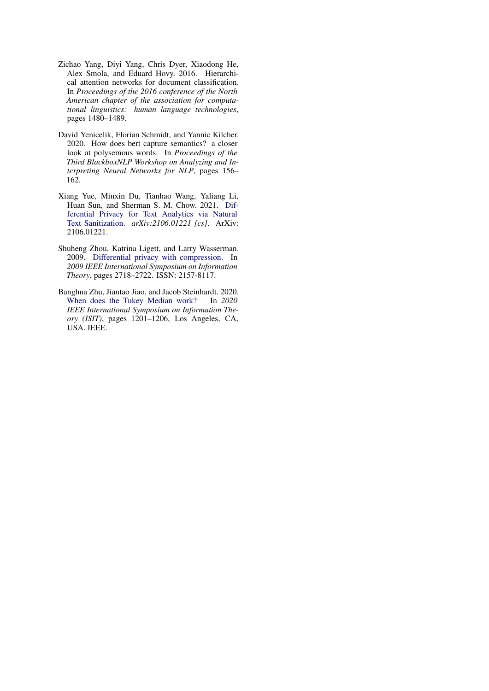- <span id="page-10-2"></span>Zichao Yang, Diyi Yang, Chris Dyer, Xiaodong He, Alex Smola, and Eduard Hovy. 2016. Hierarchical attention networks for document classification. In *Proceedings of the 2016 conference of the North American chapter of the association for computational linguistics: human language technologies*, pages 1480–1489.
- <span id="page-10-0"></span>David Yenicelik, Florian Schmidt, and Yannic Kilcher. 2020. How does bert capture semantics? a closer look at polysemous words. In *Proceedings of the Third BlackboxNLP Workshop on Analyzing and Interpreting Neural Networks for NLP*, pages 156– 162.
- <span id="page-10-1"></span>Xiang Yue, Minxin Du, Tianhao Wang, Yaliang Li, Huan Sun, and Sherman S. M. Chow. 2021. [Dif](http://arxiv.org/abs/2106.01221)[ferential Privacy for Text Analytics via Natural](http://arxiv.org/abs/2106.01221) [Text Sanitization.](http://arxiv.org/abs/2106.01221) *arXiv:2106.01221 [cs]*. ArXiv: 2106.01221.
- <span id="page-10-3"></span>Shuheng Zhou, Katrina Ligett, and Larry Wasserman. 2009. [Differential privacy with compression.](https://doi.org/10.1109/ISIT.2009.5205863) In *2009 IEEE International Symposium on Information Theory*, pages 2718–2722. ISSN: 2157-8117.
- <span id="page-10-4"></span>Banghua Zhu, Jiantao Jiao, and Jacob Steinhardt. 2020. [When does the Tukey Median work?](https://doi.org/10.1109/ISIT44484.2020.9173995) In *2020 IEEE International Symposium on Information Theory (ISIT)*, pages 1201–1206, Los Angeles, CA, USA. IEEE.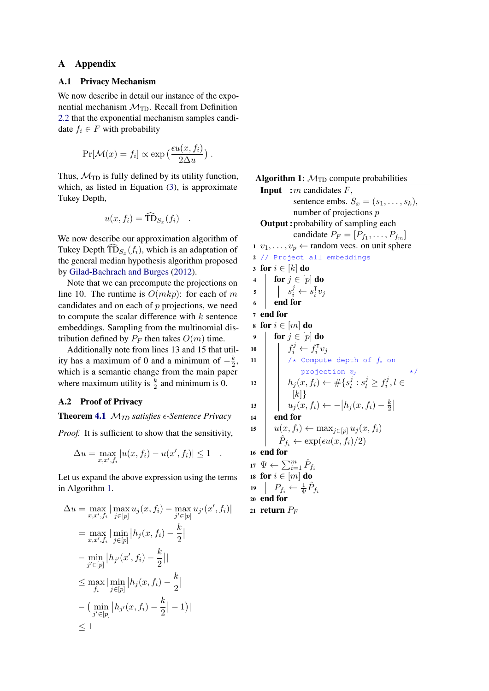## A Appendix

## A.1 Privacy Mechanism

We now describe in detail our instance of the exponential mechanism  $\mathcal{M}_{\text{TD}}$ . Recall from Definition [2.2](#page-2-0) that the exponential mechanism samples candidate  $f_i \in F$  with probability

$$
Pr[\mathcal{M}(x) = f_i] \propto \exp\left(\frac{\epsilon u(x, f_i)}{2\Delta u}\right).
$$

Thus,  $\mathcal{M}_{\text{TD}}$  is fully defined by its utility function, which, as listed in Equation [\(3\)](#page-4-1), is approximate Tukey Depth,

$$
u(x, f_i) = \widehat{\text{TD}}_{S_x}(f_i) \quad .
$$

We now describe our approximation algorithm of Tukey Depth  $TD_{S_x}(f_i)$ , which is an adaptation of the general median hypothesis algorithm proposed by [Gilad-Bachrach and Burges](#page-8-19) [\(2012\)](#page-8-19).

Note that we can precompute the projections on line 10. The runtime is  $O(mkp)$ : for each of m candidates and on each of  $p$  projections, we need to compute the scalar difference with  $k$  sentence embeddings. Sampling from the multinomial distribution defined by  $P_F$  then takes  $O(m)$  time.

Additionally note from lines 13 and 15 that utility has a maximum of 0 and a minimum of  $-\frac{k}{2}$  $\frac{k}{2}$ , which is a semantic change from the main paper where maximum utility is  $\frac{k}{2}$  and minimum is 0.

#### A.2 Proof of Privacy

**Theorem [4.1](#page-5-1)**  $M_{TD}$  *satisfies*  $\epsilon$ -Sentence Privacy

*Proof.* It is sufficient to show that the sensitivity,

<span id="page-11-0"></span>
$$
\Delta u = \max_{x,x',f_i} |u(x,f_i) - u(x',f_i)| \le 1.
$$

Let us expand the above expression using the terms in Algorithm [1.](#page-11-0)

$$
\Delta u = \max_{x, x', f_i} |\max_{j \in [p]} u_j(x, f_i) - \max_{j' \in [p]} u_{j'}(x', f_i)|
$$
  
\n
$$
= \max_{x, x', f_i} |\min_{j \in [p]} |h_j(x, f_i) - \frac{k}{2}|
$$
  
\n
$$
- \min_{j' \in [p]} |h_{j'}(x', f_i) - \frac{k}{2}|
$$
  
\n
$$
\leq \max_{f_i} |\min_{j \in [p]} |h_j(x, f_i) - \frac{k}{2}|
$$
  
\n
$$
- (\min_{j' \in [p]} |h_{j'}(x, f_i) - \frac{k}{2}| - 1)|
$$
  
\n
$$
\leq 1
$$

Algorithm 1:  $M_{\text{TD}}$  compute probabilities **Input** :  $\overline{m}$  candidates  $\overline{F}$ , sentence embs.  $S_x = (s_1, \ldots, s_k)$ , number of projections p Output :probability of sampling each candidate  $P_F = [P_{f_1}, \ldots, P_{f_m}]$ 1  $v_1, \ldots, v_p \leftarrow$  random vecs. on unit sphere 2 // Project all embeddings 3 for  $i \in [k]$  do 4 for  $j \in [p]$  do  $\begin{array}{c|c} 5 & s_i^j & \xrightarrow{s} \\ & s_i^j & \xrightarrow{s} \\ & & \end{array}$  $\frac{\intercal}{i}v_j$ <sup>6</sup> end for <sup>7</sup> end for 8 for  $i \in [m]$  do 9 for  $j \in [p]$  do 10  $\left| \begin{array}{c} \end{array} \right|$   $f_i^j \leftarrow f_i^{\mathsf{T}}$  $_i^{\intercal}v_j$ 11  $\vert$  /\* Compute depth of  $f_i$  on projection  $v_j$ 12  $h_j(x, f_i) \leftarrow \# \{s_l^j\}$  $j \,:\, s_l^j \geq f_i^j$  $i^j, l \in$  $[k]$ 13  $\Big| \t u_j(x, f_i) \leftarrow - |h_j(x, f_i) - \frac{k}{2}$  $rac{k}{2}$  $14$  end for 15  $u(x, f_i) \leftarrow \max_{j \in [p]} u_j(x, f_i)$  $\hat{P}_{f_i} \leftarrow \exp(\epsilon u(x, f_i)/2)$ <sup>16</sup> end for 17  $\Psi \leftarrow \sum_{i=1}^m \hat{P}_{f_i}$ 18 for  $i \in [m]$  do 19  $P_{f_i} \leftarrow \frac{1}{\Psi} \hat{P}_{f_i}$ <sup>20</sup> end for 21 return  $P_F$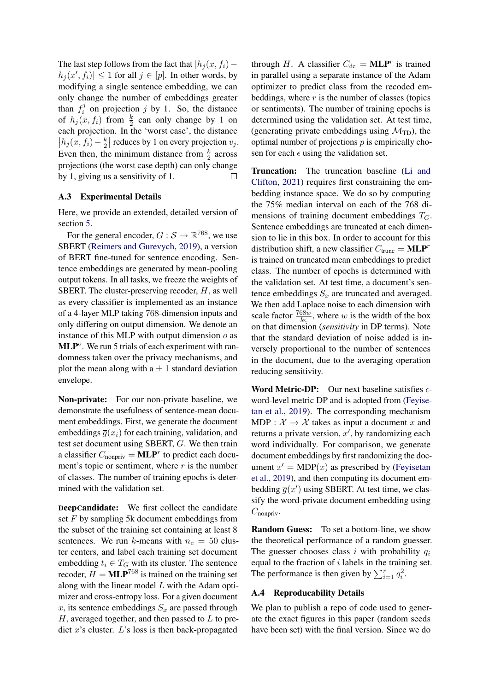The last step follows from the fact that  $|h_j (x, f_i)$  –  $|h_j(x', f_i)| \leq 1$  for all  $j \in [p]$ . In other words, by modifying a single sentence embedding, we can only change the number of embeddings greater than  $f_i^j$  $i<sup>j</sup>$  on projection j by 1. So, the distance of  $h_j(x, f_i)$  from  $\frac{k}{2}$  can only change by 1 on each projection. In the 'worst case', the distance  $h_j(x, f_i) - \frac{k}{2}$  $\frac{k}{2}$  reduces by 1 on every projection  $v_j$ . Even then, the minimum distance from  $\frac{k}{2}$  across projections (the worst case depth) can only change by 1, giving us a sensitivity of 1. П

### A.3 Experimental Details

Here, we provide an extended, detailed version of section [5.](#page-6-1)

For the general encoder,  $G : \mathcal{S} \to \mathbb{R}^{768}$ , we use SBERT [\(Reimers and Gurevych,](#page-9-21) [2019\)](#page-9-21), a version of BERT fine-tuned for sentence encoding. Sentence embeddings are generated by mean-pooling output tokens. In all tasks, we freeze the weights of SBERT. The cluster-preserving recoder,  $H$ , as well as every classifier is implemented as an instance of a 4-layer MLP taking 768-dimension inputs and only differing on output dimension. We denote an instance of this MLP with output dimension  $o$  as  $MLP<sup>o</sup>$ . We run 5 trials of each experiment with randomness taken over the privacy mechanisms, and plot the mean along with  $a \pm 1$  standard deviation envelope.

Non-private: For our non-private baseline, we demonstrate the usefulness of sentence-mean document embeddings. First, we generate the document embeddings  $\overline{g}(x_i)$  for each training, validation, and test set document using SBERT, G. We then train a classifier  $C_{\text{nonpriv}} = \textbf{MLP}^r$  to predict each document's topic or sentiment, where  $r$  is the number of classes. The number of training epochs is determined with the validation set.

DeepCandidate: We first collect the candidate set F by sampling 5k document embeddings from the subset of the training set containing at least 8 sentences. We run k-means with  $n_c = 50$  cluster centers, and label each training set document embedding  $t_i \in T_G$  with its cluster. The sentence recoder,  $H = \text{MLP}^{768}$  is trained on the training set along with the linear model  $L$  with the Adam optimizer and cross-entropy loss. For a given document x, its sentence embeddings  $S_x$  are passed through  $H$ , averaged together, and then passed to  $L$  to predict  $x$ 's cluster.  $L$ 's loss is then back-propagated

through H. A classifier  $C_{dc} = \text{MLP}^r$  is trained in parallel using a separate instance of the Adam optimizer to predict class from the recoded embeddings, where  $r$  is the number of classes (topics or sentiments). The number of training epochs is determined using the validation set. At test time, (generating private embeddings using  $\mathcal{M}_{\text{TD}}$ ), the optimal number of projections  $p$  is empirically chosen for each  $\epsilon$  using the validation set.

Truncation: The truncation baseline [\(Li and](#page-9-13) [Clifton,](#page-9-13) [2021\)](#page-9-13) requires first constraining the embedding instance space. We do so by computing the 75% median interval on each of the 768 dimensions of training document embeddings  $T_G$ . Sentence embeddings are truncated at each dimension to lie in this box. In order to account for this distribution shift, a new classifier  $C_{\text{trunc}} = \text{MLP}^r$ is trained on truncated mean embeddings to predict class. The number of epochs is determined with the validation set. At test time, a document's sentence embeddings  $S_x$  are truncated and averaged. We then add Laplace noise to each dimension with scale factor  $\frac{768w}{k\epsilon}$ , where w is the width of the box on that dimension (*sensitivity* in DP terms). Note that the standard deviation of noise added is inversely proportional to the number of sentences in the document, due to the averaging operation reducing sensitivity.

**Word Metric-DP:** Our next baseline satisfies  $\epsilon$ word-level metric DP and is adopted from [\(Feyise](#page-8-6)[tan et al.,](#page-8-6) [2019\)](#page-8-6). The corresponding mechanism MDP :  $\mathcal{X} \rightarrow \mathcal{X}$  takes as input a document x and returns a private version,  $x'$ , by randomizing each word individually. For comparison, we generate document embeddings by first randomizing the document  $x' = MDP(x)$  as prescribed by [\(Feyisetan](#page-8-6) [et al.,](#page-8-6) [2019\)](#page-8-6), and then computing its document embedding  $\overline{g}(x')$  using SBERT. At test time, we classify the word-private document embedding using  $C_{\text{nonpriv}}$ .

Random Guess: To set a bottom-line, we show the theoretical performance of a random guesser. The guesser chooses class i with probability  $q_i$ equal to the fraction of  $i$  labels in the training set. The performance is then given by  $\sum_{i=1}^{r} q_i^2$ .

#### A.4 Reproducability Details

We plan to publish a repo of code used to generate the exact figures in this paper (random seeds have been set) with the final version. Since we do